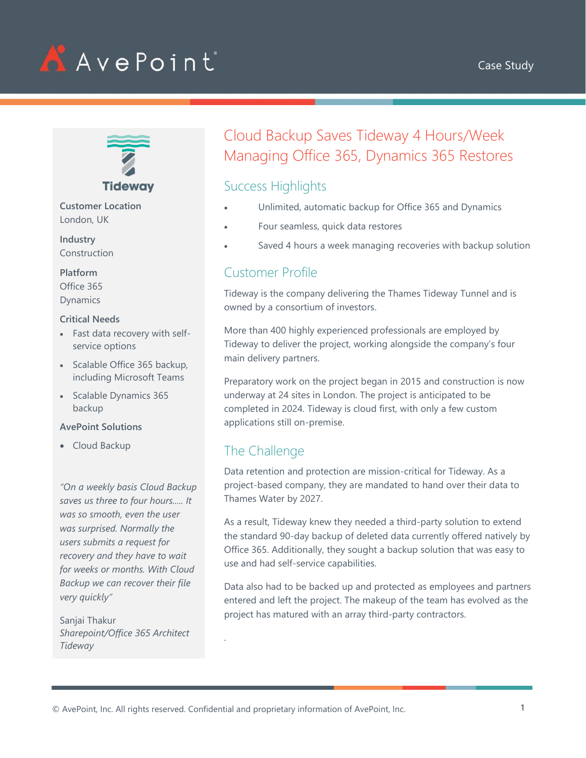





**Customer Location** London, UK

**Industry Construction** 

**Platform** Office 365

Dynamics

#### **Critical Needs**

- Fast data recovery with selfservice options
- Scalable Office 365 backup, including Microsoft Teams
- Scalable Dynamics 365 backup

#### **AvePoint Solutions**

• Cloud Backup

*"On a weekly basis Cloud Backup saves us three to four hours..... It was so smooth, even the user was surprised. Normally the users submits a request for recovery and they have to wait for weeks or months. With Cloud Backup we can recover their file very quickly"*

Sanjai Thakur *Sharepoint/Office 365 Architect Tideway*

# Cloud Backup Saves Tideway 4 Hours/Week Managing Office 365, Dynamics 365 Restores

## Success Highlights

- Unlimited, automatic backup for Office 365 and Dynamics
- Four seamless, quick data restores
- Saved 4 hours a week managing recoveries with backup solution

# Customer Profile

Tideway is the company delivering the Thames Tideway Tunnel and is owned by a consortium of investors.

More than 400 highly experienced professionals are employed by Tideway to deliver the project, working alongside the company's four main delivery partners.

Preparatory work on the project began in 2015 and construction is now underway at 24 sites in London. The project is anticipated to be completed in 2024. Tideway is cloud first, with only a few custom applications still on-premise.

### The Challenge

Data retention and protection are mission-critical for Tideway. As a project-based company, they are mandated to hand over their data to Thames Water by 2027.

As a result, Tideway knew they needed a third-party solution to extend the standard 90-day backup of deleted data currently offered natively by Office 365. Additionally, they sought a backup solution that was easy to use and had self-service capabilities.

Data also had to be backed up and protected as employees and partners entered and left the project. The makeup of the team has evolved as the project has matured with an array third-party contractors.

.